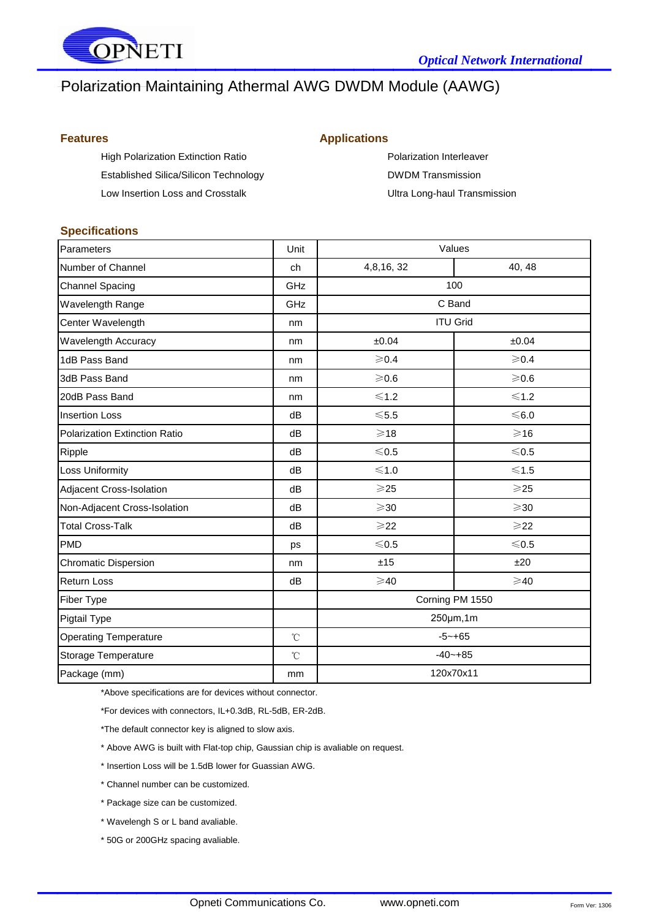

# Polarization Maintaining Athermal AWG DWDM Module (AAWG)

High Polarization Extinction Ratio **Polarization Interleaver** Polarization Interleaver Established Silica/Silicon Technology **DWDM Transmission** 

### **Features Applications**

Low Insertion Loss and Crosstalk **National Exercise 2 and Crosstally** Ultra Long-haul Transmission

#### **Specifications**

| Parameters                    | Unit                | Values          |                 |
|-------------------------------|---------------------|-----------------|-----------------|
| Number of Channel             | ch                  | 4,8,16,32       | 40, 48          |
| <b>Channel Spacing</b>        | GHz                 | 100             |                 |
| Wavelength Range              | GHz                 | C Band          |                 |
| Center Wavelength             | nm                  | <b>ITU Grid</b> |                 |
| Wavelength Accuracy           | nm                  | ±0.04           | ±0.04           |
| 1dB Pass Band                 | nm                  | $\geqslant$ 0.4 | $\geqslant$ 0.4 |
| 3dB Pass Band                 | nm                  | $\geqslant$ 0.6 | $\geqslant$ 0.6 |
| 20dB Pass Band                | nm                  | $≤1.2$          | $≤1.2$          |
| <b>Insertion Loss</b>         | dB                  | $5.5$           | $≤ 6.0$         |
| Polarization Extinction Ratio | dB                  | $\geqslant$ 18  | $\geqslant$ 16  |
| Ripple                        | dB                  | $< 0.5$         | $≤ 0.5$         |
| <b>Loss Uniformity</b>        | dB                  | $≤1.0$          | $≤1.5$          |
| Adjacent Cross-Isolation      | dB                  | $\geqslant$ 25  | $\geqslant$ 25  |
| Non-Adjacent Cross-Isolation  | dB                  | $\geqslant$ 30  | $\geqslant$ 30  |
| <b>Total Cross-Talk</b>       | dB                  | $\geqslant$ 22  | $\geqslant$ 22  |
| <b>PMD</b>                    | ps                  | $< 0.5$         | $≤0.5$          |
| <b>Chromatic Dispersion</b>   | nm                  | ±15             | ±20             |
| <b>Return Loss</b>            | dB                  | $\geqslant$ 40  | $\geqslant$ 40  |
| <b>Fiber Type</b>             |                     | Corning PM 1550 |                 |
| <b>Pigtail Type</b>           |                     | 250µm,1m        |                 |
| <b>Operating Temperature</b>  | $^{\circ}\!{\rm C}$ | $-5 - +65$      |                 |
| Storage Temperature           | $^{\circ}\!{\rm C}$ | $-40 - +85$     |                 |
| Package (mm)                  | mm                  | 120x70x11       |                 |

\*Above specifications are for devices without connector.

\*For devices with connectors, IL+0.3dB, RL-5dB, ER-2dB.

\*The default connector key is aligned to slow axis.

\* Above AWG is built with Flat-top chip, Gaussian chip is avaliable on request.

- \* Insertion Loss will be 1.5dB lower for Guassian AWG.
- \* Channel number can be customized.
- \* Package size can be customized.
- \* Wavelengh S or L band avaliable.
- \* 50G or 200GHz spacing avaliable.

 $\mathcal{L}_\text{max}$  , and the contract of the contract of the contract of the contract of the contract of the contract of the contract of the contract of the contract of the contract of the contract of the contract of the contr